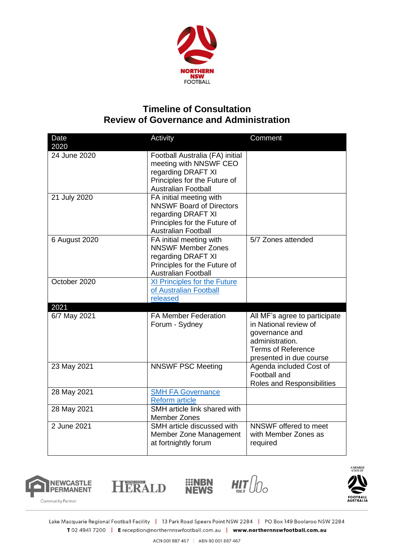

## **Timeline of Consultation Review of Governance and Administration**

| Date<br>2020         | Activity                                                                                                                                       | Comment                                                                                                                                             |
|----------------------|------------------------------------------------------------------------------------------------------------------------------------------------|-----------------------------------------------------------------------------------------------------------------------------------------------------|
| 24 June 2020         | Football Australia (FA) initial<br>meeting with NNSWF CEO<br>regarding DRAFT XI<br>Principles for the Future of<br><b>Australian Football</b>  |                                                                                                                                                     |
| 21 July 2020         | FA initial meeting with<br><b>NNSWF Board of Directors</b><br>regarding DRAFT XI<br>Principles for the Future of<br><b>Australian Football</b> |                                                                                                                                                     |
| 6 August 2020        | FA initial meeting with<br><b>NNSWF Member Zones</b><br>regarding DRAFT XI<br>Principles for the Future of<br><b>Australian Football</b>       | 5/7 Zones attended                                                                                                                                  |
| October 2020         | XI Principles for the Future<br>of Australian Football<br>released                                                                             |                                                                                                                                                     |
| 2021<br>6/7 May 2021 | <b>FA Member Federation</b><br>Forum - Sydney                                                                                                  | All MF's agree to participate<br>in National review of<br>governance and<br>administration.<br><b>Terms of Reference</b><br>presented in due course |
| 23 May 2021          | <b>NNSWF PSC Meeting</b>                                                                                                                       | Agenda included Cost of<br>Football and<br>Roles and Responsibilities                                                                               |
| 28 May 2021          | <b>SMH FA Governance</b><br><b>Reform article</b>                                                                                              |                                                                                                                                                     |
| 28 May 2021          | SMH article link shared with<br><b>Member Zones</b>                                                                                            |                                                                                                                                                     |
| 2 June 2021          | SMH article discussed with<br>Member Zone Management<br>at fortnightly forum                                                                   | NNSWF offered to meet<br>with Member Zones as<br>required                                                                                           |



HERALD





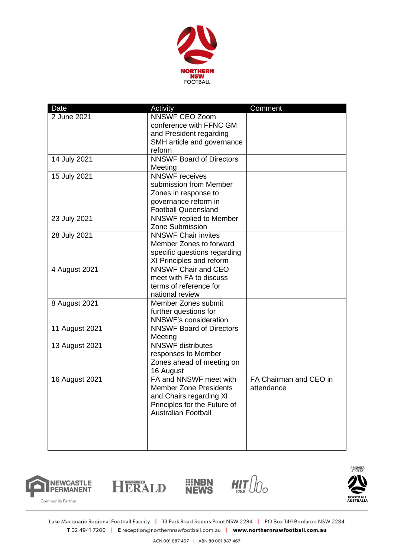

| Date           | Activity                        | Comment                |
|----------------|---------------------------------|------------------------|
| 2 June 2021    | <b>NNSWF CEO Zoom</b>           |                        |
|                | conference with FFNC GM         |                        |
|                | and President regarding         |                        |
|                | SMH article and governance      |                        |
|                | reform                          |                        |
| 14 July 2021   | <b>NNSWF Board of Directors</b> |                        |
|                | Meeting                         |                        |
| 15 July 2021   | <b>NNSWF</b> receives           |                        |
|                | submission from Member          |                        |
|                | Zones in response to            |                        |
|                | governance reform in            |                        |
|                | <b>Football Queensland</b>      |                        |
| 23 July 2021   | <b>NNSWF</b> replied to Member  |                        |
|                | Zone Submission                 |                        |
| 28 July 2021   | <b>NNSWF Chair invites</b>      |                        |
|                | Member Zones to forward         |                        |
|                | specific questions regarding    |                        |
|                | XI Principles and reform        |                        |
| 4 August 2021  | <b>NNSWF Chair and CEO</b>      |                        |
|                | meet with FA to discuss         |                        |
|                | terms of reference for          |                        |
|                | national review                 |                        |
| 8 August 2021  | Member Zones submit             |                        |
|                | further questions for           |                        |
|                | <b>NNSWF's consideration</b>    |                        |
| 11 August 2021 | <b>NNSWF Board of Directors</b> |                        |
|                | Meeting                         |                        |
| 13 August 2021 | <b>NNSWF</b> distributes        |                        |
|                | responses to Member             |                        |
|                | Zones ahead of meeting on       |                        |
|                | 16 August                       |                        |
| 16 August 2021 | FA and NNSWF meet with          | FA Chairman and CEO in |
|                | <b>Member Zone Presidents</b>   | attendance             |
|                | and Chairs regarding XI         |                        |
|                | Principles for the Future of    |                        |
|                | <b>Australian Football</b>      |                        |
|                |                                 |                        |
|                |                                 |                        |
|                |                                 |                        |
|                |                                 |                        |







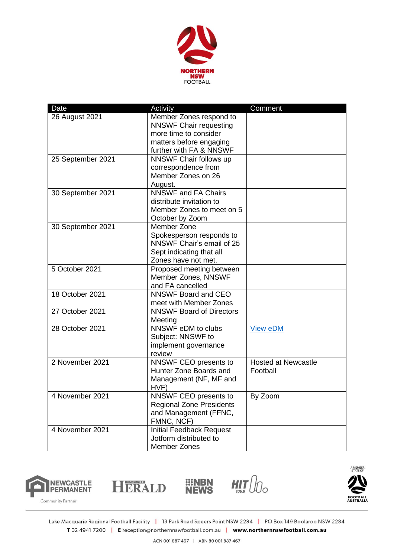

| Date              | Activity                                                                                                                                | Comment                                |
|-------------------|-----------------------------------------------------------------------------------------------------------------------------------------|----------------------------------------|
| 26 August 2021    | Member Zones respond to<br><b>NNSWF Chair requesting</b><br>more time to consider<br>matters before engaging<br>further with FA & NNSWF |                                        |
| 25 September 2021 | NNSWF Chair follows up<br>correspondence from<br>Member Zones on 26<br>August.                                                          |                                        |
| 30 September 2021 | <b>NNSWF and FA Chairs</b><br>distribute invitation to<br>Member Zones to meet on 5<br>October by Zoom                                  |                                        |
| 30 September 2021 | Member Zone<br>Spokesperson responds to<br>NNSWF Chair's email of 25<br>Sept indicating that all<br>Zones have not met.                 |                                        |
| 5 October 2021    | Proposed meeting between<br>Member Zones, NNSWF<br>and FA cancelled                                                                     |                                        |
| 18 October 2021   | NNSWF Board and CEO<br>meet with Member Zones                                                                                           |                                        |
| 27 October 2021   | <b>NNSWF Board of Directors</b><br>Meeting                                                                                              |                                        |
| 28 October 2021   | NNSWF eDM to clubs<br>Subject: NNSWF to<br>implement governance<br>review                                                               | <b>View eDM</b>                        |
| 2 November 2021   | NNSWF CEO presents to<br>Hunter Zone Boards and<br>Management (NF, MF and<br>HVF)                                                       | <b>Hosted at Newcastle</b><br>Football |
| 4 November 2021   | NNSWF CEO presents to<br><b>Regional Zone Presidents</b><br>and Management (FFNC,<br>FMNC, NCF)                                         | By Zoom                                |
| 4 November 2021   | <b>Initial Feedback Request</b><br>Jotform distributed to<br><b>Member Zones</b>                                                        |                                        |







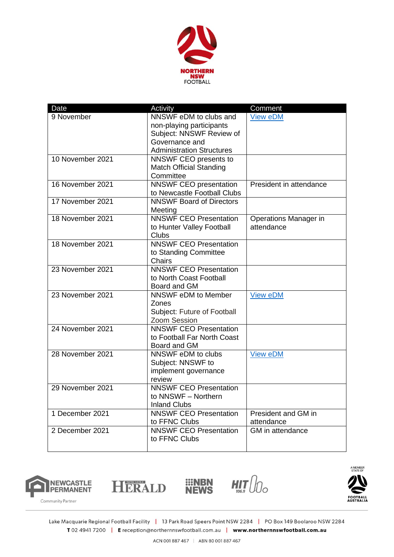

| Date             | Activity                         | Comment                 |
|------------------|----------------------------------|-------------------------|
| 9 November       | NNSWF eDM to clubs and           | <b>View eDM</b>         |
|                  | non-playing participants         |                         |
|                  | Subject: NNSWF Review of         |                         |
|                  | Governance and                   |                         |
|                  | <b>Administration Structures</b> |                         |
| 10 November 2021 | NNSWF CEO presents to            |                         |
|                  | <b>Match Official Standing</b>   |                         |
|                  | Committee                        |                         |
| 16 November 2021 | <b>NNSWF CEO presentation</b>    | President in attendance |
|                  | to Newcastle Football Clubs      |                         |
| 17 November 2021 | <b>NNSWF Board of Directors</b>  |                         |
|                  | Meeting                          |                         |
| 18 November 2021 | <b>NNSWF CEO Presentation</b>    | Operations Manager in   |
|                  | to Hunter Valley Football        | attendance              |
|                  | <b>Clubs</b>                     |                         |
| 18 November 2021 | <b>NNSWF CEO Presentation</b>    |                         |
|                  | to Standing Committee            |                         |
|                  | <b>Chairs</b>                    |                         |
| 23 November 2021 | <b>NNSWF CEO Presentation</b>    |                         |
|                  | to North Coast Football          |                         |
|                  | Board and GM                     |                         |
| 23 November 2021 | NNSWF eDM to Member              | <b>View eDM</b>         |
|                  | Zones                            |                         |
|                  | Subject: Future of Football      |                         |
|                  | Zoom Session                     |                         |
| 24 November 2021 | <b>NNSWF CEO Presentation</b>    |                         |
|                  | to Football Far North Coast      |                         |
|                  | Board and GM                     |                         |
| 28 November 2021 | NNSWF eDM to clubs               | View eDM                |
|                  | Subject: NNSWF to                |                         |
|                  | implement governance             |                         |
|                  | review                           |                         |
| 29 November 2021 | <b>NNSWF CEO Presentation</b>    |                         |
|                  | to NNSWF - Northern              |                         |
|                  | <b>Inland Clubs</b>              |                         |
| 1 December 2021  | <b>NNSWF CEO Presentation</b>    | President and GM in     |
|                  | to FFNC Clubs                    | attendance              |
| 2 December 2021  | <b>NNSWF CEO Presentation</b>    | GM in attendance        |
|                  | to FFNC Clubs                    |                         |
|                  |                                  |                         |







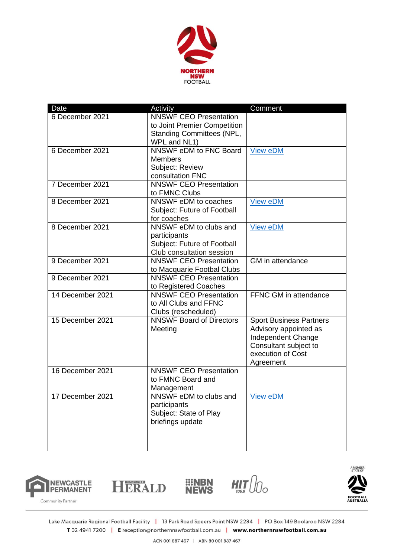

| Date             | Activity                         | Comment                        |
|------------------|----------------------------------|--------------------------------|
| 6 December 2021  | <b>NNSWF CEO Presentation</b>    |                                |
|                  | to Joint Premier Competition     |                                |
|                  | <b>Standing Committees (NPL,</b> |                                |
|                  | WPL and NL1)                     |                                |
| 6 December 2021  | NNSWF eDM to FNC Board           | <b>View eDM</b>                |
|                  | <b>Members</b>                   |                                |
|                  | Subject: Review                  |                                |
|                  | consultation FNC                 |                                |
| 7 December 2021  | <b>NNSWF CEO Presentation</b>    |                                |
|                  | to FMNC Clubs                    |                                |
| 8 December 2021  | NNSWF eDM to coaches             | <b>View eDM</b>                |
|                  | Subject: Future of Football      |                                |
|                  | for coaches                      |                                |
| 8 December 2021  | NNSWF eDM to clubs and           | <b>View eDM</b>                |
|                  | participants                     |                                |
|                  | Subject: Future of Football      |                                |
|                  | Club consultation session        |                                |
| 9 December 2021  | <b>NNSWF CEO Presentation</b>    | GM in attendance               |
|                  | to Macquarie Footbal Clubs       |                                |
| 9 December 2021  | <b>NNSWF CEO Presentation</b>    |                                |
|                  | to Registered Coaches            |                                |
| 14 December 2021 | <b>NNSWF CEO Presentation</b>    | FFNC GM in attendance          |
|                  | to All Clubs and FFNC            |                                |
|                  | Clubs (rescheduled)              |                                |
| 15 December 2021 | <b>NNSWF Board of Directors</b>  | <b>Sport Business Partners</b> |
|                  | Meeting                          | Advisory appointed as          |
|                  |                                  | Independent Change             |
|                  |                                  | Consultant subject to          |
|                  |                                  | execution of Cost              |
|                  |                                  | Agreement                      |
| 16 December 2021 | <b>NNSWF CEO Presentation</b>    |                                |
|                  | to FMNC Board and                |                                |
|                  | Management                       |                                |
| 17 December 2021 | NNSWF eDM to clubs and           | <b>View eDM</b>                |
|                  | participants                     |                                |
|                  | Subject: State of Play           |                                |
|                  | briefings update                 |                                |
|                  |                                  |                                |
|                  |                                  |                                |
|                  |                                  |                                |







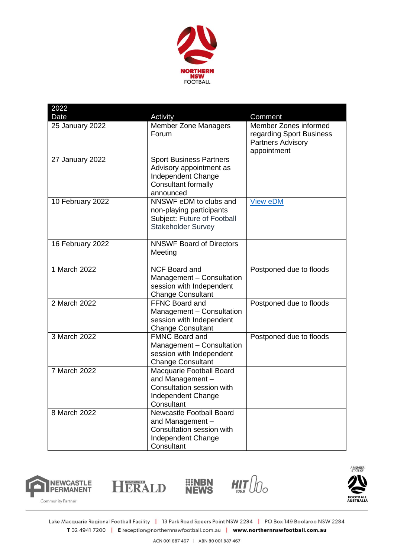

| 2022             |                                                                                                                            |                                                                                              |
|------------------|----------------------------------------------------------------------------------------------------------------------------|----------------------------------------------------------------------------------------------|
| Date             | Activity                                                                                                                   | Comment                                                                                      |
| 25 January 2022  | <b>Member Zone Managers</b><br>Forum                                                                                       | Member Zones informed<br>regarding Sport Business<br><b>Partners Advisory</b><br>appointment |
| 27 January 2022  | <b>Sport Business Partners</b><br>Advisory appointment as<br>Independent Change<br><b>Consultant formally</b><br>announced |                                                                                              |
| 10 February 2022 | NNSWF eDM to clubs and<br>non-playing participants<br>Subject: Future of Football<br><b>Stakeholder Survey</b>             | <b>View eDM</b>                                                                              |
| 16 February 2022 | <b>NNSWF Board of Directors</b><br>Meeting                                                                                 |                                                                                              |
| 1 March 2022     | <b>NCF Board and</b><br>Management - Consultation<br>session with Independent<br><b>Change Consultant</b>                  | Postponed due to floods                                                                      |
| 2 March 2022     | <b>FFNC Board and</b><br>Management - Consultation<br>session with Independent<br><b>Change Consultant</b>                 | Postponed due to floods                                                                      |
| 3 March 2022     | <b>FMNC Board and</b><br>Management - Consultation<br>session with Independent<br><b>Change Consultant</b>                 | Postponed due to floods                                                                      |
| 7 March 2022     | Macquarie Football Board<br>and Management-<br>Consultation session with<br>Independent Change<br>Consultant               |                                                                                              |
| 8 March 2022     | <b>Newcastle Football Board</b><br>and Management -<br>Consultation session with<br>Independent Change<br>Consultant       |                                                                                              |